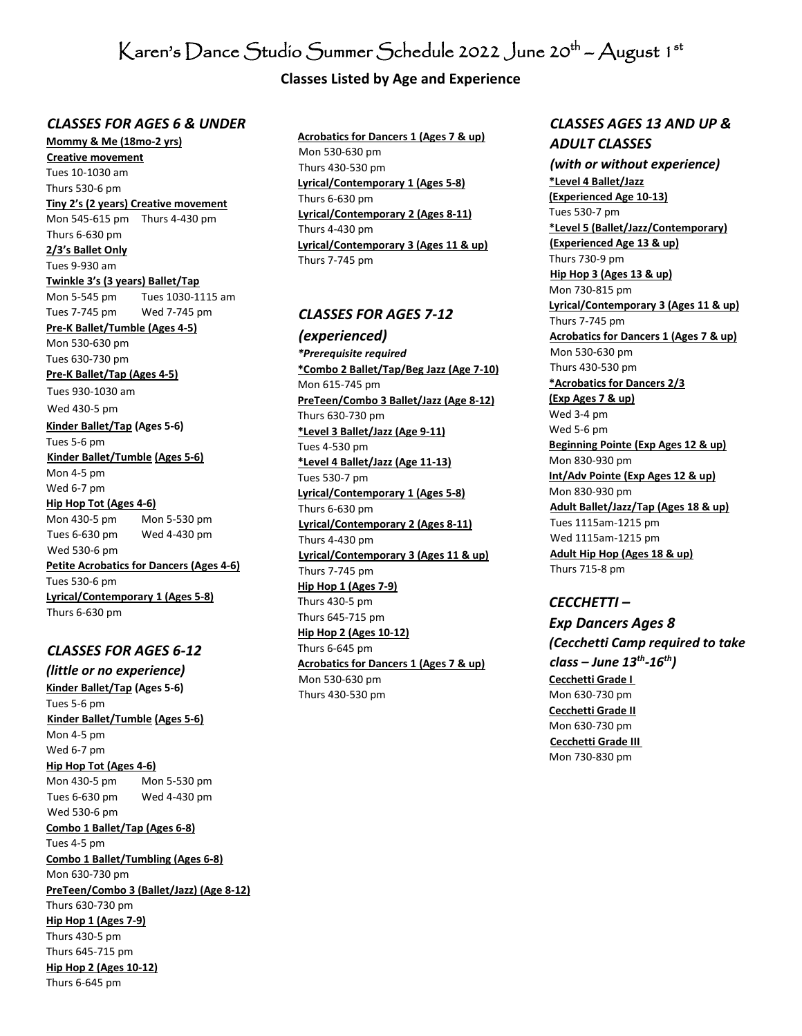# $\rm K$ aren's  $\rm D$ ance  $\rm St$ udío  $\rm S$ ummer  $\rm Sch$ edule 2022  $\rm J$ une 20 $^{\rm th}$  –  $\rm A$ ugust 1  $^{\rm st}$

## **Classes Listed by Age and Experience**

#### *CLASSES FOR AGES 6 & UNDER*

**Mommy & Me (18mo-2 yrs) Creative movement** Tues 10-1030 am Thurs 530-6 pm **Tiny 2's (2 years) Creative movement** Mon 545-615 pm Thurs 4-430 pm Thurs 6-630 pm **2/3's Ballet Only** Tues 9-930 am **Twinkle 3's (3 years) Ballet/Tap** Mon 5-545 pm Tues 1030-1115 am Tues 7-745 pm Wed 7-745 pm **Pre-K Ballet/Tumble (Ages 4-5)** Mon 530-630 pm Tues 630-730 pm **Pre-K Ballet/Tap (Ages 4-5)** Tues 930-1030 am Wed 430-5 pm **Kinder Ballet/Tap (Ages 5-6)**  Tues 5-6 pm **Kinder Ballet/Tumble (Ages 5-6)** Mon 4-5 pm Wed 6-7 pm **Hip Hop Tot (Ages 4-6)** Mon 430-5 pm Mon 5-530 pm Tues 6-630 pm Wed 4-430 pm Wed 530-6 pm **Petite Acrobatics for Dancers (Ages 4-6)** Tues 530-6 pm **Lyrical/Contemporary 1 (Ages 5-8)**

Thurs 6-630 pm

#### *CLASSES FOR AGES 6-12*

*(little or no experience)*  **Kinder Ballet/Tap (Ages 5-6)**  Tues 5-6 pm **Kinder Ballet/Tumble (Ages 5-6)** Mon 4-5 pm Wed 6-7 pm **Hip Hop Tot (Ages 4-6)** Mon 430-5 pm Mon 5-530 pm Tues 6-630 pm Wed 4-430 pm Wed 530-6 pm **Combo 1 Ballet/Tap (Ages 6-8)** Tues 4-5 pm **Combo 1 Ballet/Tumbling (Ages 6-8)** Mon 630-730 pm **PreTeen/Combo 3 (Ballet/Jazz) (Age 8-12)** Thurs 630-730 pm **Hip Hop 1 (Ages 7-9)** Thurs 430-5 pm Thurs 645-715 pm **Hip Hop 2 (Ages 10-12)** Thurs 6-645 pm

**Acrobatics for Dancers 1 (Ages 7 & up)** Mon 530-630 pm Thurs 430-530 pm **Lyrical/Contemporary 1 (Ages 5-8)** Thurs 6-630 pm **Lyrical/Contemporary 2 (Ages 8-11)** Thurs 4-430 pm **Lyrical/Contemporary 3 (Ages 11 & up)** Thurs 7-745 pm

#### *CLASSES FOR AGES 7-12*

*(experienced) \*Prerequisite required* **\*Combo 2 Ballet/Tap/Beg Jazz (Age 7-10)** Mon 615-745 pm **PreTeen/Combo 3 Ballet/Jazz (Age 8-12)** Thurs 630-730 pm **\*Level 3 Ballet/Jazz (Age 9-11)** Tues 4-530 pm **\*Level 4 Ballet/Jazz (Age 11-13)** Tues 530-7 pm **Lyrical/Contemporary 1 (Ages 5-8)** Thurs 6-630 pm **Lyrical/Contemporary 2 (Ages 8-11)** Thurs 4-430 pm **Lyrical/Contemporary 3 (Ages 11 & up)** Thurs 7-745 pm **Hip Hop 1 (Ages 7-9)** Thurs 430-5 pm Thurs 645-715 pm **Hip Hop 2 (Ages 10-12)** Thurs 6-645 pm **Acrobatics for Dancers 1 (Ages 7 & up)** Mon 530-630 pm Thurs 430-530 pm

# *CLASSES AGES 13 AND UP & ADULT CLASSES*

*(with or without experience)* **\*Level 4 Ballet/Jazz (Experienced Age 10-13)** Tues 530-7 pm **\*Level 5 (Ballet/Jazz/Contemporary) (Experienced Age 13 & up)** Thurs 730-9 pm **Hip Hop 3 (Ages 13 & up)** Mon 730-815 pm **Lyrical/Contemporary 3 (Ages 11 & up)** Thurs 7-745 pm **Acrobatics for Dancers 1 (Ages 7 & up)** Mon 530-630 pm Thurs 430-530 pm **\*Acrobatics for Dancers 2/3 (Exp Ages 7 & up)** Wed 3-4 pm Wed 5-6 pm **Beginning Pointe (Exp Ages 12 & up)** Mon 830-930 pm **Int/Adv Pointe (Exp Ages 12 & up)** Mon 830-930 pm **Adult Ballet/Jazz/Tap (Ages 18 & up)** Tues 1115am-1215 pm Wed 1115am-1215 pm **Adult Hip Hop (Ages 18 & up)** Thurs 715-8 pm

#### *CECCHETTI –*

*Exp Dancers Ages 8 (Cecchetti Camp required to take class – June 13th -16th)* **Cecchetti Grade I**  Mon 630-730 pm **Cecchetti Grade II** Mon 630-730 pm **Cecchetti Grade III**  Mon 730-830 pm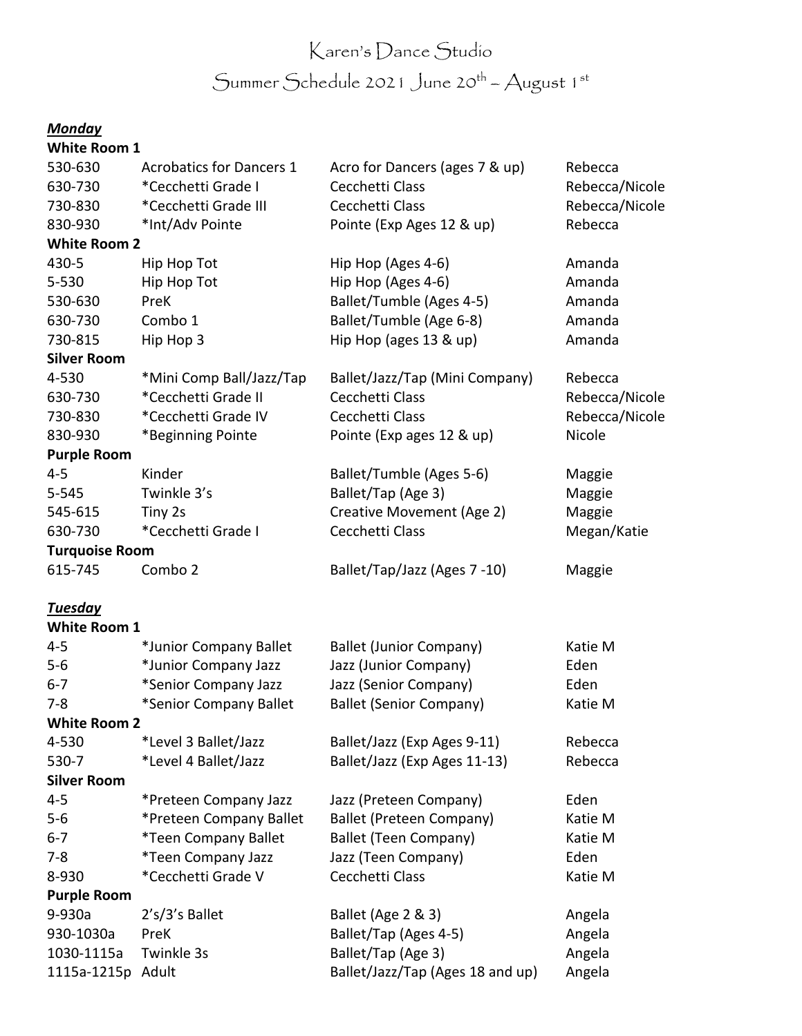# Karen's Dance Studio Summer Schedule 2021 June 20<sup>th</sup> – August 1st

# *Monday*

| <b>White Room 1</b>   |                                 |                                  |                |
|-----------------------|---------------------------------|----------------------------------|----------------|
| 530-630               | <b>Acrobatics for Dancers 1</b> | Acro for Dancers (ages 7 & up)   | Rebecca        |
| 630-730               | *Cecchetti Grade I              | Cecchetti Class                  | Rebecca/Nicole |
| 730-830               | *Cecchetti Grade III            | Cecchetti Class                  | Rebecca/Nicole |
| 830-930               | *Int/Adv Pointe                 | Pointe (Exp Ages 12 & up)        | Rebecca        |
| <b>White Room 2</b>   |                                 |                                  |                |
| 430-5                 | Hip Hop Tot                     | Hip Hop (Ages 4-6)               | Amanda         |
| 5-530                 | Hip Hop Tot                     | Hip Hop (Ages 4-6)               | Amanda         |
| 530-630               | PreK                            | Ballet/Tumble (Ages 4-5)         | Amanda         |
| 630-730               | Combo 1                         | Ballet/Tumble (Age 6-8)          | Amanda         |
| 730-815               | Hip Hop 3                       | Hip Hop (ages 13 & up)           | Amanda         |
| <b>Silver Room</b>    |                                 |                                  |                |
| 4-530                 | *Mini Comp Ball/Jazz/Tap        | Ballet/Jazz/Tap (Mini Company)   | Rebecca        |
| 630-730               | *Cecchetti Grade II             | Cecchetti Class                  | Rebecca/Nicole |
| 730-830               | *Cecchetti Grade IV             | Cecchetti Class                  | Rebecca/Nicole |
| 830-930               | *Beginning Pointe               | Pointe (Exp ages 12 & up)        | Nicole         |
| <b>Purple Room</b>    |                                 |                                  |                |
| $4 - 5$               | Kinder                          | Ballet/Tumble (Ages 5-6)         | Maggie         |
| $5 - 545$             | Twinkle 3's                     | Ballet/Tap (Age 3)               | Maggie         |
| 545-615               | Tiny 2s                         | Creative Movement (Age 2)        | Maggie         |
| 630-730               | *Cecchetti Grade I              | Cecchetti Class                  | Megan/Katie    |
| <b>Turquoise Room</b> |                                 |                                  |                |
| 615-745               | Combo 2                         | Ballet/Tap/Jazz (Ages 7-10)      | Maggie         |
| <b>Tuesday</b>        |                                 |                                  |                |
| <b>White Room 1</b>   |                                 |                                  |                |
| $4 - 5$               | *Junior Company Ballet          | <b>Ballet (Junior Company)</b>   | Katie M        |
| $5-6$                 | *Junior Company Jazz            | Jazz (Junior Company)            | Eden           |
| $6 - 7$               | *Senior Company Jazz            | Jazz (Senior Company)            | Eden           |
| $7 - 8$               | *Senior Company Ballet          | <b>Ballet (Senior Company)</b>   | Katie M        |
| <b>White Room 2</b>   |                                 |                                  |                |
| 4-530                 | *Level 3 Ballet/Jazz            | Ballet/Jazz (Exp Ages 9-11)      | Rebecca        |
| 530-7                 | *Level 4 Ballet/Jazz            | Ballet/Jazz (Exp Ages 11-13)     | Rebecca        |
| <b>Silver Room</b>    |                                 |                                  |                |
| $4 - 5$               | *Preteen Company Jazz           | Jazz (Preteen Company)           | Eden           |
| $5-6$                 | *Preteen Company Ballet         | <b>Ballet (Preteen Company)</b>  | Katie M        |
| $6 - 7$               | *Teen Company Ballet            | <b>Ballet (Teen Company)</b>     | Katie M        |
| $7 - 8$               | *Teen Company Jazz              | Jazz (Teen Company)              | Eden           |
| 8-930                 | *Cecchetti Grade V              | Cecchetti Class                  | Katie M        |
| <b>Purple Room</b>    |                                 |                                  |                |
| 9-930a                | $2's/3's$ Ballet                | Ballet (Age 2 & 3)               | Angela         |
| 930-1030a             | PreK                            | Ballet/Tap (Ages 4-5)            | Angela         |
| 1030-1115a            | Twinkle 3s                      | Ballet/Tap (Age 3)               | Angela         |
| 1115a-1215p Adult     |                                 | Ballet/Jazz/Tap (Ages 18 and up) | Angela         |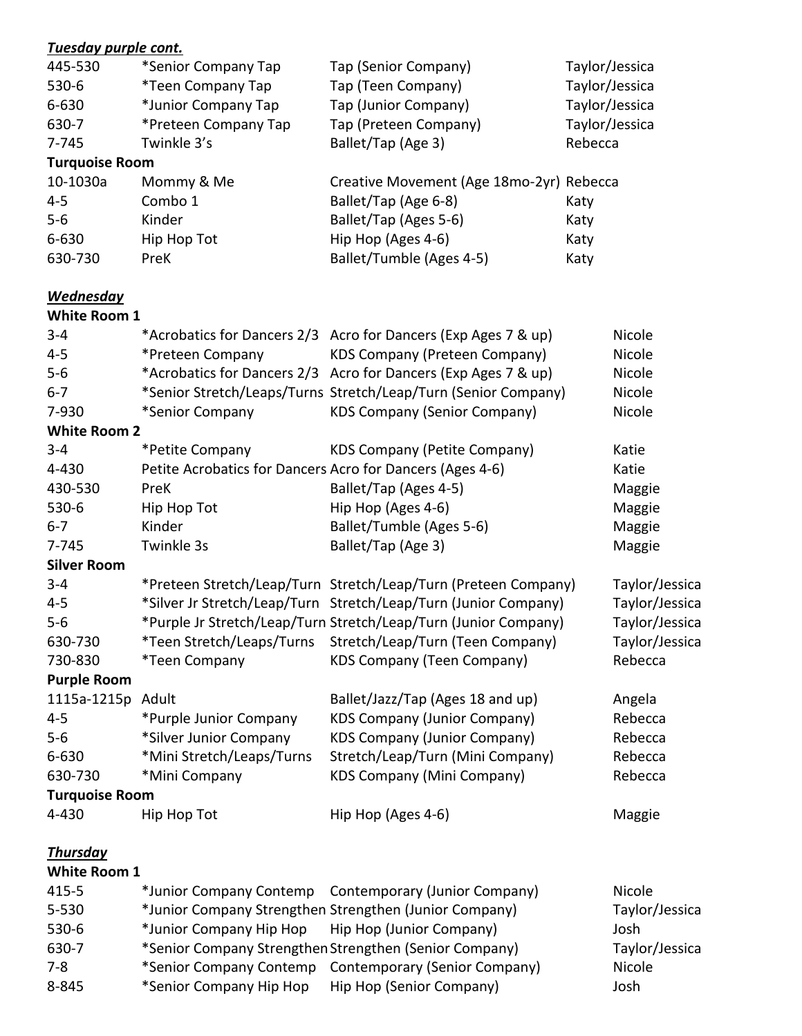| Tuesday purple cont.  |                                                           |                                                                 |         |                |
|-----------------------|-----------------------------------------------------------|-----------------------------------------------------------------|---------|----------------|
| 445-530               | *Senior Company Tap                                       | Tap (Senior Company)                                            |         | Taylor/Jessica |
| 530-6                 | *Teen Company Tap                                         | Tap (Teen Company)                                              |         | Taylor/Jessica |
| 6-630                 | *Junior Company Tap                                       | Tap (Junior Company)                                            |         | Taylor/Jessica |
| 630-7                 | *Preteen Company Tap                                      | Tap (Preteen Company)                                           |         | Taylor/Jessica |
| 7-745                 | Twinkle 3's                                               | Ballet/Tap (Age 3)                                              | Rebecca |                |
| <b>Turquoise Room</b> |                                                           |                                                                 |         |                |
| 10-1030a              | Mommy & Me                                                | Creative Movement (Age 18mo-2yr) Rebecca                        |         |                |
| $4 - 5$               | Combo 1                                                   | Ballet/Tap (Age 6-8)                                            | Katy    |                |
| $5-6$                 | Kinder                                                    | Ballet/Tap (Ages 5-6)                                           | Katy    |                |
| 6-630                 | Hip Hop Tot                                               | Hip Hop (Ages 4-6)                                              | Katy    |                |
| 630-730               | PreK                                                      | Ballet/Tumble (Ages 4-5)                                        | Katy    |                |
| <b>Wednesday</b>      |                                                           |                                                                 |         |                |
| <b>White Room 1</b>   |                                                           |                                                                 |         |                |
| $3 - 4$               |                                                           | *Acrobatics for Dancers 2/3 Acro for Dancers (Exp Ages 7 & up)  |         | Nicole         |
| $4 - 5$               | *Preteen Company                                          | <b>KDS Company (Preteen Company)</b>                            |         | Nicole         |
| $5-6$                 |                                                           | *Acrobatics for Dancers 2/3 Acro for Dancers (Exp Ages 7 & up)  |         | Nicole         |
| $6 - 7$               |                                                           | *Senior Stretch/Leaps/Turns Stretch/Leap/Turn (Senior Company)  |         | Nicole         |
| 7-930                 | *Senior Company                                           | <b>KDS Company (Senior Company)</b>                             |         | Nicole         |
| <b>White Room 2</b>   |                                                           |                                                                 |         |                |
| $3 - 4$               | *Petite Company                                           | <b>KDS Company (Petite Company)</b>                             |         | Katie          |
| 4-430                 | Petite Acrobatics for Dancers Acro for Dancers (Ages 4-6) |                                                                 |         | Katie          |
| 430-530               | PreK                                                      | Ballet/Tap (Ages 4-5)                                           |         | Maggie         |
| 530-6                 | Hip Hop Tot                                               | Hip Hop (Ages 4-6)                                              |         | Maggie         |
| $6 - 7$               | Kinder                                                    | Ballet/Tumble (Ages 5-6)                                        |         | Maggie         |
| 7-745                 | Twinkle 3s                                                | Ballet/Tap (Age 3)                                              |         | Maggie         |
| <b>Silver Room</b>    |                                                           |                                                                 |         |                |
| $3 - 4$               |                                                           | *Preteen Stretch/Leap/Turn Stretch/Leap/Turn (Preteen Company)  |         | Taylor/Jessica |
| $4 - 5$               |                                                           | *Silver Jr Stretch/Leap/Turn Stretch/Leap/Turn (Junior Company) |         | Taylor/Jessica |
| $5-6$                 |                                                           | *Purple Jr Stretch/Leap/Turn Stretch/Leap/Turn (Junior Company) |         | Taylor/Jessica |
| 630-730               | *Teen Stretch/Leaps/Turns                                 | Stretch/Leap/Turn (Teen Company)                                |         | Taylor/Jessica |
| 730-830               | *Teen Company                                             | <b>KDS Company (Teen Company)</b>                               |         | Rebecca        |
| <b>Purple Room</b>    |                                                           |                                                                 |         |                |
| 1115a-1215p           | Adult                                                     | Ballet/Jazz/Tap (Ages 18 and up)                                |         | Angela         |
| $4 - 5$               | *Purple Junior Company                                    | <b>KDS Company (Junior Company)</b>                             |         | Rebecca        |
| $5-6$                 | *Silver Junior Company                                    | <b>KDS Company (Junior Company)</b>                             |         | Rebecca        |
| 6-630                 | *Mini Stretch/Leaps/Turns                                 | Stretch/Leap/Turn (Mini Company)                                |         | Rebecca        |
| 630-730               | *Mini Company                                             | <b>KDS Company (Mini Company)</b>                               |         | Rebecca        |
| <b>Turquoise Room</b> |                                                           |                                                                 |         |                |
| 4-430                 | Hip Hop Tot                                               | Hip Hop (Ages 4-6)                                              |         | Maggie         |
| <b>Thursday</b>       |                                                           |                                                                 |         |                |
| <b>White Room 1</b>   |                                                           |                                                                 |         |                |
| $415 - 5$             | *Junior Company Contemp                                   | Contemporary (Junior Company)                                   |         | Nicole         |
| 5-530                 |                                                           | *Junior Company Strengthen Strengthen (Junior Company)          |         | Taylor/Jessica |
| 530-6                 | *Junior Company Hip Hop                                   | Hip Hop (Junior Company)                                        |         | Josh           |
| 630-7                 |                                                           | *Senior Company Strengthen Strengthen (Senior Company)          |         | Taylor/Jessica |
| $7 - 8$               |                                                           | *Senior Company Contemp Contemporary (Senior Company)           |         | Nicole         |

- 8-845 \*Senior Company Hip Hop Hip Hop (Senior Company) Josh
-